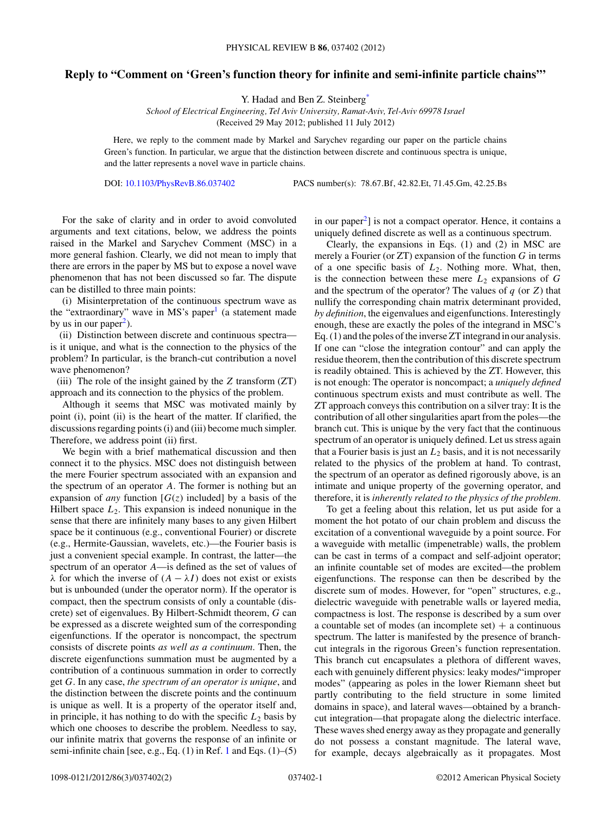## **Reply to "Comment on 'Green's function theory for infinite and semi-infinite particle chains"'**

Y. Hadad and Ben Z. Steinber[g\\*](#page-1-0)

*School of Electrical Engineering, Tel Aviv University, Ramat-Aviv, Tel-Aviv 69978 Israel* (Received 29 May 2012; published 11 July 2012)

Here, we reply to the comment made by Markel and Sarychev regarding our paper on the particle chains Green's function. In particular, we argue that the distinction between discrete and continuous spectra is unique, and the latter represents a novel wave in particle chains.

DOI: [10.1103/PhysRevB.86.037402](http://dx.doi.org/10.1103/PhysRevB.86.037402) PACS number(s): 78*.*67*.*Bf, 42*.*82*.*Et, 71*.*45*.*Gm, 42*.*25*.*Bs

For the sake of clarity and in order to avoid convoluted arguments and text citations, below, we address the points raised in the Markel and Sarychev Comment (MSC) in a more general fashion. Clearly, we did not mean to imply that there are errors in the paper by MS but to expose a novel wave phenomenon that has not been discussed so far. The dispute can be distilled to three main points:

(i) Misinterpretation of the continuous spectrum wave as the "extraordinary" wave in MS's paper $<sup>1</sup>$  $<sup>1</sup>$  $<sup>1</sup>$  (a statement made</sup> by us in our paper<sup>2</sup>).

(ii) Distinction between discrete and continuous spectra is it unique, and what is the connection to the physics of the problem? In particular, is the branch-cut contribution a novel wave phenomenon?

(iii) The role of the insight gained by the *Z* transform (ZT) approach and its connection to the physics of the problem.

Although it seems that MSC was motivated mainly by point (i), point (ii) is the heart of the matter. If clarified, the discussions regarding points (i) and (iii) become much simpler. Therefore, we address point (ii) first.

We begin with a brief mathematical discussion and then connect it to the physics. MSC does not distinguish between the mere Fourier spectrum associated with an expansion and the spectrum of an operator *A*. The former is nothing but an expansion of *any* function  $[G(z)]$  included] by a basis of the Hilbert space  $L_2$ . This expansion is indeed nonunique in the sense that there are infinitely many bases to any given Hilbert space be it continuous (e.g., conventional Fourier) or discrete (e.g., Hermite-Gaussian, wavelets, etc.)—the Fourier basis is just a convenient special example. In contrast, the latter—the spectrum of an operator *A*—is defined as the set of values of *λ* for which the inverse of  $(A - λI)$  does not exist or exists but is unbounded (under the operator norm). If the operator is compact, then the spectrum consists of only a countable (discrete) set of eigenvalues. By Hilbert-Schmidt theorem, *G* can be expressed as a discrete weighted sum of the corresponding eigenfunctions. If the operator is noncompact, the spectrum consists of discrete points *as well as a continuum*. Then, the discrete eigenfunctions summation must be augmented by a contribution of a continuous summation in order to correctly get *G*. In any case, *the spectrum of an operator is unique*, and the distinction between the discrete points and the continuum is unique as well. It is a property of the operator itself and, in principle, it has nothing to do with the specific  $L_2$  basis by which one chooses to describe the problem. Needless to say, our infinite matrix that governs the response of an infinite or semi-infinite chain [see, e.g., Eq. (1) in Ref. [1](#page-1-0) and Eqs. (1)–(5)

in our paper<sup>2</sup>] is not a compact operator. Hence, it contains a uniquely defined discrete as well as a continuous spectrum.

Clearly, the expansions in Eqs. (1) and (2) in MSC are merely a Fourier (or ZT) expansion of the function *G* in terms of a one specific basis of *L*2. Nothing more. What, then, is the connection between these mere  $L_2$  expansions of  $G$ and the spectrum of the operator? The values of *q* (or *Z*) that nullify the corresponding chain matrix determinant provided, *by definition*, the eigenvalues and eigenfunctions. Interestingly enough, these are exactly the poles of the integrand in MSC's Eq. (1) and the poles of the inverse ZT integrand in our analysis. If one can "close the integration contour" and can apply the residue theorem, then the contribution of this discrete spectrum is readily obtained. This is achieved by the ZT. However, this is not enough: The operator is noncompact; a *uniquely defined* continuous spectrum exists and must contribute as well. The ZT approach conveys this contribution on a silver tray: It is the contribution of all other singularities apart from the poles—the branch cut. This is unique by the very fact that the continuous spectrum of an operator is uniquely defined. Let us stress again that a Fourier basis is just an  $L_2$  basis, and it is not necessarily related to the physics of the problem at hand. To contrast, the spectrum of an operator as defined rigorously above, is an intimate and unique property of the governing operator, and therefore, it is *inherently related to the physics of the problem.*

To get a feeling about this relation, let us put aside for a moment the hot potato of our chain problem and discuss the excitation of a conventional waveguide by a point source. For a waveguide with metallic (impenetrable) walls, the problem can be cast in terms of a compact and self-adjoint operator; an infinite countable set of modes are excited—the problem eigenfunctions. The response can then be described by the discrete sum of modes. However, for "open" structures, e.g., dielectric waveguide with penetrable walls or layered media, compactness is lost. The response is described by a sum over a countable set of modes (an incomplete set)  $+$  a continuous spectrum. The latter is manifested by the presence of branchcut integrals in the rigorous Green's function representation. This branch cut encapsulates a plethora of different waves, each with genuinely different physics: leaky modes/"improper modes" (appearing as poles in the lower Riemann sheet but partly contributing to the field structure in some limited domains in space), and lateral waves—obtained by a branchcut integration—that propagate along the dielectric interface. These waves shed energy away as they propagate and generally do not possess a constant magnitude. The lateral wave, for example, decays algebraically as it propagates. Most